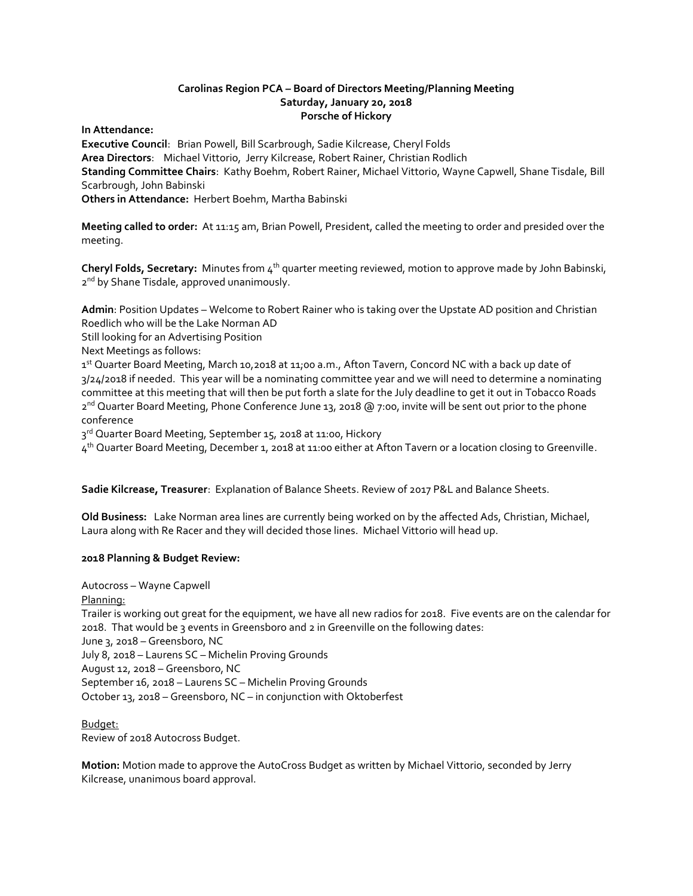## **Carolinas Region PCA – Board of Directors Meeting/Planning Meeting Saturday, January 20, 2018 Porsche of Hickory**

**In Attendance:** 

**Executive Council**: Brian Powell, Bill Scarbrough, Sadie Kilcrease, Cheryl Folds **Area Directors**: Michael Vittorio, Jerry Kilcrease, Robert Rainer, Christian Rodlich **Standing Committee Chairs**: Kathy Boehm, Robert Rainer, Michael Vittorio, Wayne Capwell, Shane Tisdale, Bill Scarbrough, John Babinski **Others in Attendance:** Herbert Boehm, Martha Babinski

**Meeting called to order:** At 11:15 am, Brian Powell, President, called the meeting to order and presided over the meeting.

**Cheryl Folds, Secretary:** Minutes from 4th quarter meeting reviewed, motion to approve made by John Babinski, 2<sup>nd</sup> by Shane Tisdale, approved unanimously.

**Admin**: Position Updates – Welcome to Robert Rainer who is taking over the Upstate AD position and Christian Roedlich who will be the Lake Norman AD

Still looking for an Advertising Position

Next Meetings as follows:

1st Quarter Board Meeting, March 10,2018 at 11;00 a.m., Afton Tavern, Concord NC with a back up date of 3/24/2018 if needed. This year will be a nominating committee year and we will need to determine a nominating committee at this meeting that will then be put forth a slate for the July deadline to get it out in Tobacco Roads 2<sup>nd</sup> Quarter Board Meeting, Phone Conference June 13, 2018 @ 7:00, invite will be sent out prior to the phone conference

3<sup>rd</sup> Quarter Board Meeting, September 15, 2018 at 11:00, Hickory

4<sup>th</sup> Quarter Board Meeting, December 1, 2018 at 11:00 either at Afton Tavern or a location closing to Greenville.

**Sadie Kilcrease, Treasurer**: Explanation of Balance Sheets. Review of 2017 P&L and Balance Sheets.

**Old Business:** Lake Norman area lines are currently being worked on by the affected Ads, Christian, Michael, Laura along with Re Racer and they will decided those lines. Michael Vittorio will head up.

## **2018 Planning & Budget Review:**

Autocross – Wayne Capwell Planning: Trailer is working out great for the equipment, we have all new radios for 2018. Five events are on the calendar for 2018. That would be 3 events in Greensboro and 2 in Greenville on the following dates: June 3, 2018 – Greensboro, NC July 8, 2018 – Laurens SC – Michelin Proving Grounds August 12, 2018 – Greensboro, NC September 16, 2018 – Laurens SC – Michelin Proving Grounds October 13, 2018 – Greensboro, NC – in conjunction with Oktoberfest

Budget: Review of 2018 Autocross Budget.

**Motion:** Motion made to approve the AutoCross Budget as written by Michael Vittorio, seconded by Jerry Kilcrease, unanimous board approval.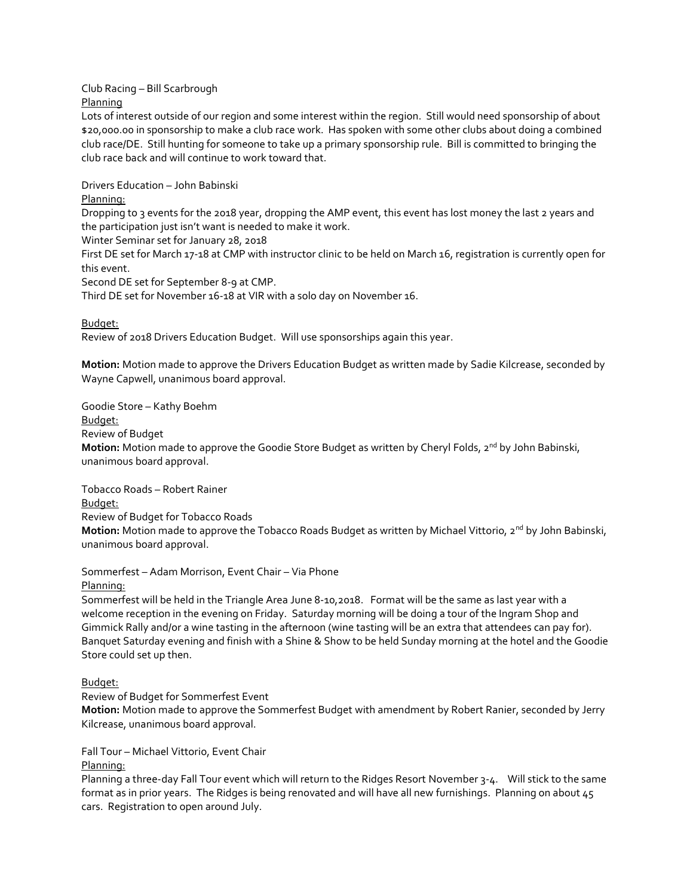Club Racing – Bill Scarbrough Planning

Lots of interest outside of our region and some interest within the region. Still would need sponsorship of about \$20,000.00 in sponsorship to make a club race work. Has spoken with some other clubs about doing a combined club race/DE. Still hunting for someone to take up a primary sponsorship rule. Bill is committed to bringing the club race back and will continue to work toward that.

Drivers Education – John Babinski

Planning:

Dropping to 3 events for the 2018 year, dropping the AMP event, this event has lost money the last 2 years and the participation just isn't want is needed to make it work.

Winter Seminar set for January 28, 2018

First DE set for March 17-18 at CMP with instructor clinic to be held on March 16, registration is currently open for this event.

Second DE set for September 8-9 at CMP.

Third DE set for November 16-18 at VIR with a solo day on November 16.

Budget:

Review of 2018 Drivers Education Budget. Will use sponsorships again this year.

**Motion:** Motion made to approve the Drivers Education Budget as written made by Sadie Kilcrease, seconded by Wayne Capwell, unanimous board approval.

Goodie Store – Kathy Boehm

Budget:

Review of Budget

**Motion:** Motion made to approve the Goodie Store Budget as written by Cheryl Folds, 2<sup>nd</sup> by John Babinski, unanimous board approval.

Tobacco Roads – Robert Rainer

Budget:

Review of Budget for Tobacco Roads

**Motion:** Motion made to approve the Tobacco Roads Budget as written by Michael Vittorio, 2<sup>nd</sup> by John Babinski, unanimous board approval.

Sommerfest – Adam Morrison, Event Chair – Via Phone

Planning:

Sommerfest will be held in the Triangle Area June 8-10,2018. Format will be the same as last year with a welcome reception in the evening on Friday. Saturday morning will be doing a tour of the Ingram Shop and Gimmick Rally and/or a wine tasting in the afternoon (wine tasting will be an extra that attendees can pay for). Banquet Saturday evening and finish with a Shine & Show to be held Sunday morning at the hotel and the Goodie Store could set up then.

Budget:

Review of Budget for Sommerfest Event

**Motion:** Motion made to approve the Sommerfest Budget with amendment by Robert Ranier, seconded by Jerry Kilcrease, unanimous board approval.

Fall Tour – Michael Vittorio, Event Chair

Planning:

Planning a three-day Fall Tour event which will return to the Ridges Resort November 3-4. Will stick to the same format as in prior years. The Ridges is being renovated and will have all new furnishings. Planning on about 45 cars. Registration to open around July.